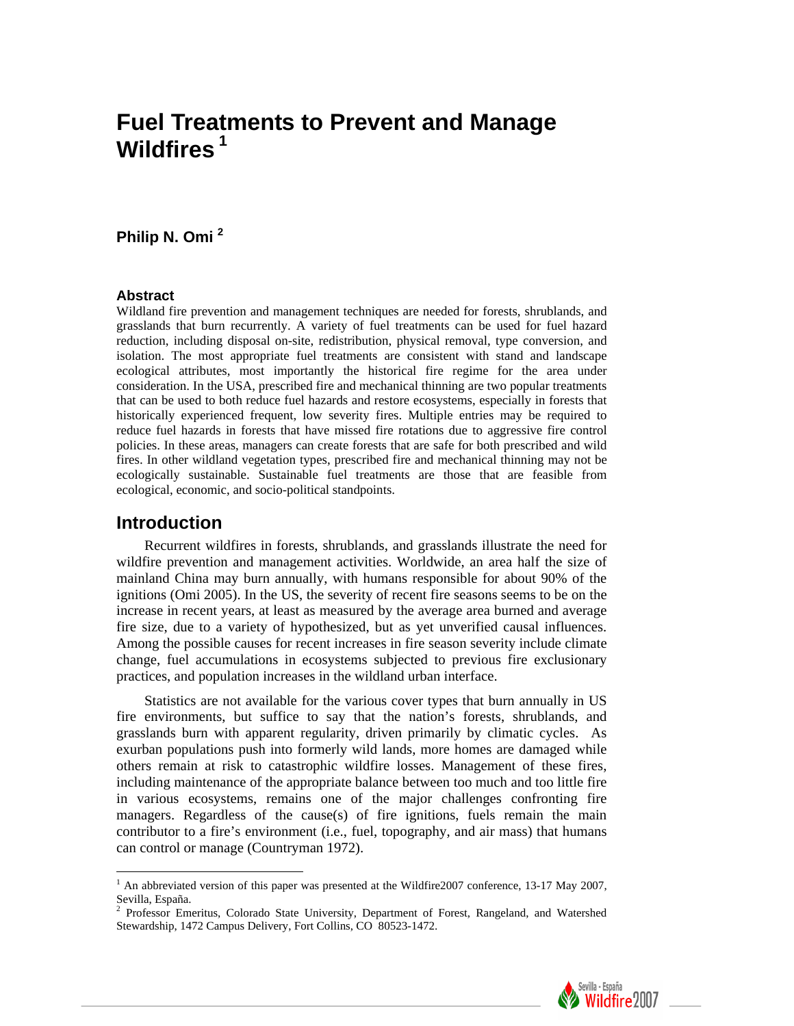# **Fuel Treatments to Prevent and Manage Wildfires<sup>1</sup>**

# **Philip N. Omi [2](#page-0-0)**

#### **Abstract**

Wildland fire prevention and management techniques are needed for forests, shrublands, and grasslands that burn recurrently. A variety of fuel treatments can be used for fuel hazard reduction, including disposal on-site, redistribution, physical removal, type conversion, and isolation. The most appropriate fuel treatments are consistent with stand and landscape ecological attributes, most importantly the historical fire regime for the area under consideration. In the USA, prescribed fire and mechanical thinning are two popular treatments that can be used to both reduce fuel hazards and restore ecosystems, especially in forests that historically experienced frequent, low severity fires. Multiple entries may be required to reduce fuel hazards in forests that have missed fire rotations due to aggressive fire control policies. In these areas, managers can create forests that are safe for both prescribed and wild fires. In other wildland vegetation types, prescribed fire and mechanical thinning may not be ecologically sustainable. Sustainable fuel treatments are those that are feasible from ecological, economic, and socio-political standpoints.

#### **Introduction**

 $\overline{a}$ 

Recurrent wildfires in forests, shrublands, and grasslands illustrate the need for wildfire prevention and management activities. Worldwide, an area half the size of mainland China may burn annually, with humans responsible for about 90% of the ignitions (Omi 2005). In the US, the severity of recent fire seasons seems to be on the increase in recent years, at least as measured by the average area burned and average fire size, due to a variety of hypothesized, but as yet unverified causal influences. Among the possible causes for recent increases in fire season severity include climate change, fuel accumulations in ecosystems subjected to previous fire exclusionary practices, and population increases in the wildland urban interface.

Statistics are not available for the various cover types that burn annually in US fire environments, but suffice to say that the nation's forests, shrublands, and grasslands burn with apparent regularity, driven primarily by climatic cycles. As exurban populations push into formerly wild lands, more homes are damaged while others remain at risk to catastrophic wildfire losses. Management of these fires, including maintenance of the appropriate balance between too much and too little fire in various ecosystems, remains one of the major challenges confronting fire managers. Regardless of the cause(s) of fire ignitions, fuels remain the main contributor to a fire's environment (i.e., fuel, topography, and air mass) that humans can control or manage (Countryman 1972).

<span id="page-0-0"></span>Stewardship, 1472 Campus Delivery, Fort Collins, CO 80523-1472.



<sup>&</sup>lt;sup>1</sup> An abbreviated version of this paper was presented at the Wildfire2007 conference, 13-17 May 2007, Sevilla, España.<br><sup>2</sup> Professor Emeritus, Colorado State University, Department of Forest, Rangeland, and Watershed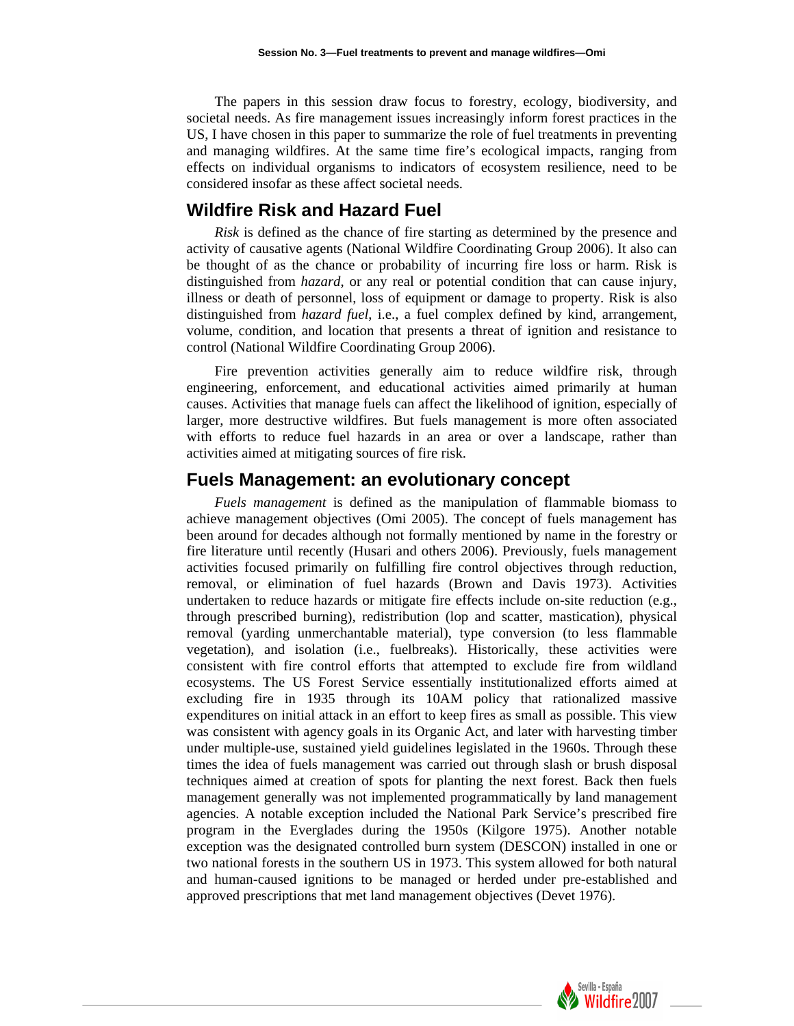The papers in this session draw focus to forestry, ecology, biodiversity, and societal needs. As fire management issues increasingly inform forest practices in the US, I have chosen in this paper to summarize the role of fuel treatments in preventing and managing wildfires. At the same time fire's ecological impacts, ranging from effects on individual organisms to indicators of ecosystem resilience, need to be considered insofar as these affect societal needs.

#### **Wildfire Risk and Hazard Fuel**

*Risk* is defined as the chance of fire starting as determined by the presence and activity of causative agents (National Wildfire Coordinating Group 2006). It also can be thought of as the chance or probability of incurring fire loss or harm. Risk is distinguished from *hazard*, or any real or potential condition that can cause injury, illness or death of personnel, loss of equipment or damage to property. Risk is also distinguished from *hazard fuel*, i.e., a fuel complex defined by kind, arrangement, volume, condition, and location that presents a threat of ignition and resistance to control (National Wildfire Coordinating Group 2006).

Fire prevention activities generally aim to reduce wildfire risk, through engineering, enforcement, and educational activities aimed primarily at human causes. Activities that manage fuels can affect the likelihood of ignition, especially of larger, more destructive wildfires. But fuels management is more often associated with efforts to reduce fuel hazards in an area or over a landscape, rather than activities aimed at mitigating sources of fire risk.

### **Fuels Management: an evolutionary concept**

*Fuels management* is defined as the manipulation of flammable biomass to achieve management objectives (Omi 2005). The concept of fuels management has been around for decades although not formally mentioned by name in the forestry or fire literature until recently (Husari and others 2006). Previously, fuels management activities focused primarily on fulfilling fire control objectives through reduction, removal, or elimination of fuel hazards (Brown and Davis 1973). Activities undertaken to reduce hazards or mitigate fire effects include on-site reduction (e.g., through prescribed burning), redistribution (lop and scatter, mastication), physical removal (yarding unmerchantable material), type conversion (to less flammable vegetation), and isolation (i.e., fuelbreaks). Historically, these activities were consistent with fire control efforts that attempted to exclude fire from wildland ecosystems. The US Forest Service essentially institutionalized efforts aimed at excluding fire in 1935 through its 10AM policy that rationalized massive expenditures on initial attack in an effort to keep fires as small as possible. This view was consistent with agency goals in its Organic Act, and later with harvesting timber under multiple-use, sustained yield guidelines legislated in the 1960s. Through these times the idea of fuels management was carried out through slash or brush disposal techniques aimed at creation of spots for planting the next forest. Back then fuels management generally was not implemented programmatically by land management agencies. A notable exception included the National Park Service's prescribed fire program in the Everglades during the 1950s (Kilgore 1975). Another notable exception was the designated controlled burn system (DESCON) installed in one or two national forests in the southern US in 1973. This system allowed for both natural and human-caused ignitions to be managed or herded under pre-established and approved prescriptions that met land management objectives (Devet 1976).

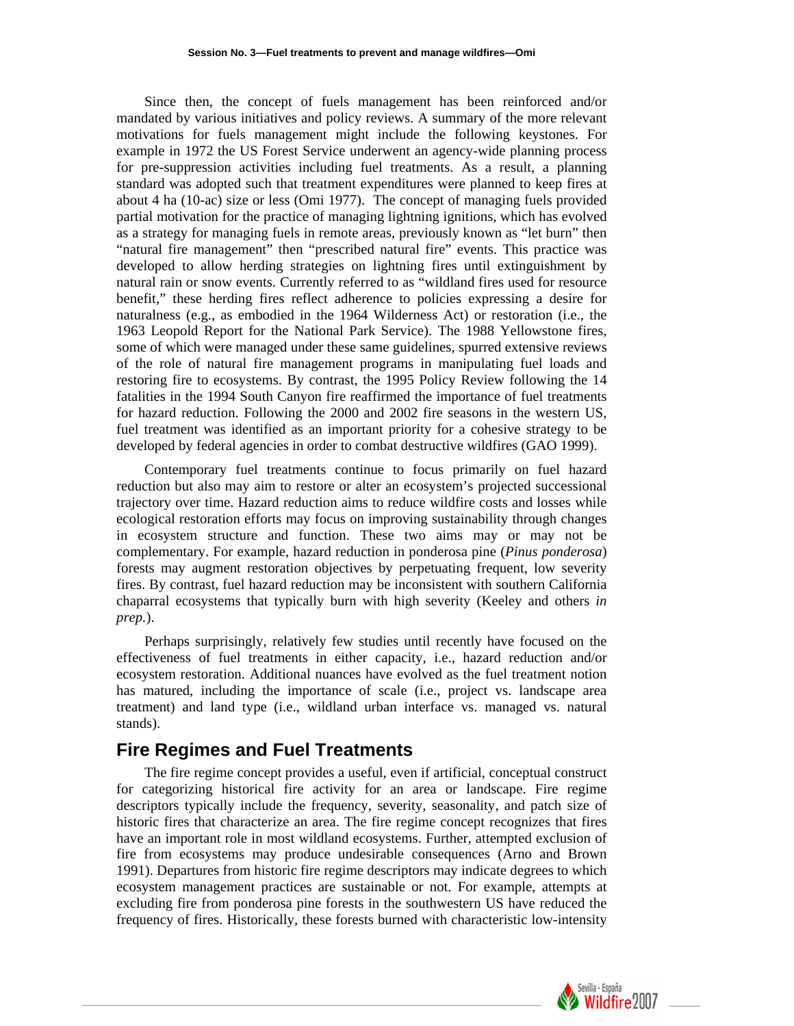Since then, the concept of fuels management has been reinforced and/or mandated by various initiatives and policy reviews. A summary of the more relevant motivations for fuels management might include the following keystones. For example in 1972 the US Forest Service underwent an agency-wide planning process for pre-suppression activities including fuel treatments. As a result, a planning standard was adopted such that treatment expenditures were planned to keep fires at about 4 ha (10-ac) size or less (Omi 1977). The concept of managing fuels provided partial motivation for the practice of managing lightning ignitions, which has evolved as a strategy for managing fuels in remote areas, previously known as "let burn" then "natural fire management" then "prescribed natural fire" events. This practice was developed to allow herding strategies on lightning fires until extinguishment by natural rain or snow events. Currently referred to as "wildland fires used for resource benefit," these herding fires reflect adherence to policies expressing a desire for naturalness (e.g., as embodied in the 1964 Wilderness Act) or restoration (i.e., the 1963 Leopold Report for the National Park Service). The 1988 Yellowstone fires, some of which were managed under these same guidelines, spurred extensive reviews of the role of natural fire management programs in manipulating fuel loads and restoring fire to ecosystems. By contrast, the 1995 Policy Review following the 14 fatalities in the 1994 South Canyon fire reaffirmed the importance of fuel treatments for hazard reduction. Following the 2000 and 2002 fire seasons in the western US, fuel treatment was identified as an important priority for a cohesive strategy to be developed by federal agencies in order to combat destructive wildfires (GAO 1999).

Contemporary fuel treatments continue to focus primarily on fuel hazard reduction but also may aim to restore or alter an ecosystem's projected successional trajectory over time. Hazard reduction aims to reduce wildfire costs and losses while ecological restoration efforts may focus on improving sustainability through changes in ecosystem structure and function. These two aims may or may not be complementary. For example, hazard reduction in ponderosa pine (*Pinus ponderosa*) forests may augment restoration objectives by perpetuating frequent, low severity fires. By contrast, fuel hazard reduction may be inconsistent with southern California chaparral ecosystems that typically burn with high severity (Keeley and others *in prep.*).

Perhaps surprisingly, relatively few studies until recently have focused on the effectiveness of fuel treatments in either capacity, i.e., hazard reduction and/or ecosystem restoration. Additional nuances have evolved as the fuel treatment notion has matured, including the importance of scale (i.e., project vs. landscape area treatment) and land type (i.e., wildland urban interface vs. managed vs. natural stands).

# **Fire Regimes and Fuel Treatments**

The fire regime concept provides a useful, even if artificial, conceptual construct for categorizing historical fire activity for an area or landscape. Fire regime descriptors typically include the frequency, severity, seasonality, and patch size of historic fires that characterize an area. The fire regime concept recognizes that fires have an important role in most wildland ecosystems. Further, attempted exclusion of fire from ecosystems may produce undesirable consequences (Arno and Brown 1991). Departures from historic fire regime descriptors may indicate degrees to which ecosystem management practices are sustainable or not. For example, attempts at excluding fire from ponderosa pine forests in the southwestern US have reduced the frequency of fires. Historically, these forests burned with characteristic low-intensity

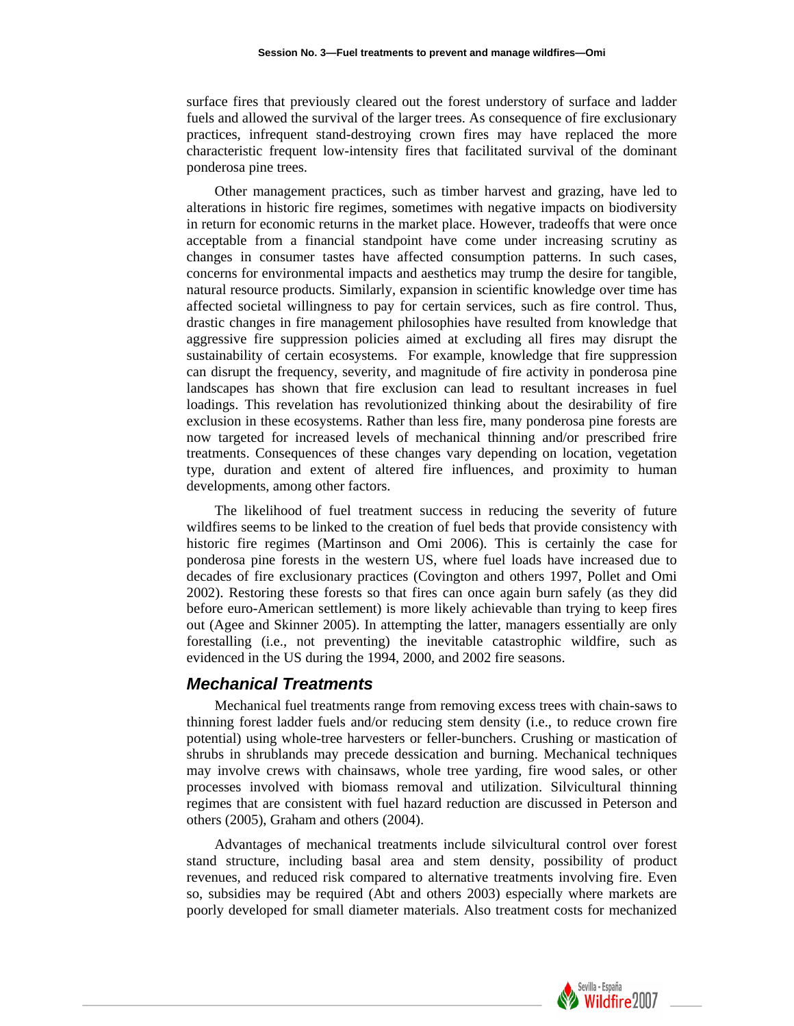surface fires that previously cleared out the forest understory of surface and ladder fuels and allowed the survival of the larger trees. As consequence of fire exclusionary practices, infrequent stand-destroying crown fires may have replaced the more characteristic frequent low-intensity fires that facilitated survival of the dominant ponderosa pine trees.

Other management practices, such as timber harvest and grazing, have led to alterations in historic fire regimes, sometimes with negative impacts on biodiversity in return for economic returns in the market place. However, tradeoffs that were once acceptable from a financial standpoint have come under increasing scrutiny as changes in consumer tastes have affected consumption patterns. In such cases, concerns for environmental impacts and aesthetics may trump the desire for tangible, natural resource products. Similarly, expansion in scientific knowledge over time has affected societal willingness to pay for certain services, such as fire control. Thus, drastic changes in fire management philosophies have resulted from knowledge that aggressive fire suppression policies aimed at excluding all fires may disrupt the sustainability of certain ecosystems. For example, knowledge that fire suppression can disrupt the frequency, severity, and magnitude of fire activity in ponderosa pine landscapes has shown that fire exclusion can lead to resultant increases in fuel loadings. This revelation has revolutionized thinking about the desirability of fire exclusion in these ecosystems. Rather than less fire, many ponderosa pine forests are now targeted for increased levels of mechanical thinning and/or prescribed frire treatments. Consequences of these changes vary depending on location, vegetation type, duration and extent of altered fire influences, and proximity to human developments, among other factors.

The likelihood of fuel treatment success in reducing the severity of future wildfires seems to be linked to the creation of fuel beds that provide consistency with historic fire regimes (Martinson and Omi 2006). This is certainly the case for ponderosa pine forests in the western US, where fuel loads have increased due to decades of fire exclusionary practices (Covington and others 1997, Pollet and Omi 2002). Restoring these forests so that fires can once again burn safely (as they did before euro-American settlement) is more likely achievable than trying to keep fires out (Agee and Skinner 2005). In attempting the latter, managers essentially are only forestalling (i.e., not preventing) the inevitable catastrophic wildfire, such as evidenced in the US during the 1994, 2000, and 2002 fire seasons.

#### *Mechanical Treatments*

Mechanical fuel treatments range from removing excess trees with chain-saws to thinning forest ladder fuels and/or reducing stem density (i.e., to reduce crown fire potential) using whole-tree harvesters or feller-bunchers. Crushing or mastication of shrubs in shrublands may precede dessication and burning. Mechanical techniques may involve crews with chainsaws, whole tree yarding, fire wood sales, or other processes involved with biomass removal and utilization. Silvicultural thinning regimes that are consistent with fuel hazard reduction are discussed in Peterson and others (2005), Graham and others (2004).

Advantages of mechanical treatments include silvicultural control over forest stand structure, including basal area and stem density, possibility of product revenues, and reduced risk compared to alternative treatments involving fire. Even so, subsidies may be required (Abt and others 2003) especially where markets are poorly developed for small diameter materials. Also treatment costs for mechanized

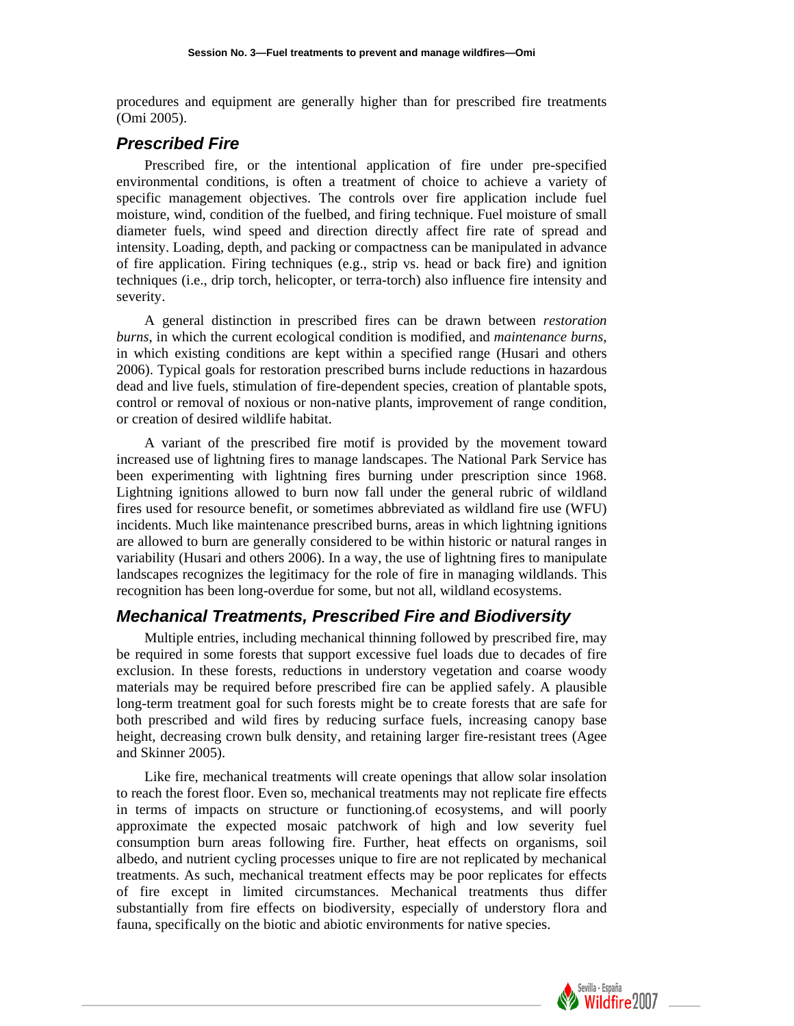procedures and equipment are generally higher than for prescribed fire treatments (Omi 2005).

#### *Prescribed Fire*

Prescribed fire, or the intentional application of fire under pre-specified environmental conditions, is often a treatment of choice to achieve a variety of specific management objectives. The controls over fire application include fuel moisture, wind, condition of the fuelbed, and firing technique. Fuel moisture of small diameter fuels, wind speed and direction directly affect fire rate of spread and intensity. Loading, depth, and packing or compactness can be manipulated in advance of fire application. Firing techniques (e.g., strip vs. head or back fire) and ignition techniques (i.e., drip torch, helicopter, or terra-torch) also influence fire intensity and severity.

A general distinction in prescribed fires can be drawn between *restoration burns*, in which the current ecological condition is modified, and *maintenance burns*, in which existing conditions are kept within a specified range (Husari and others 2006). Typical goals for restoration prescribed burns include reductions in hazardous dead and live fuels, stimulation of fire-dependent species, creation of plantable spots, control or removal of noxious or non-native plants, improvement of range condition, or creation of desired wildlife habitat.

A variant of the prescribed fire motif is provided by the movement toward increased use of lightning fires to manage landscapes. The National Park Service has been experimenting with lightning fires burning under prescription since 1968. Lightning ignitions allowed to burn now fall under the general rubric of wildland fires used for resource benefit, or sometimes abbreviated as wildland fire use (WFU) incidents. Much like maintenance prescribed burns, areas in which lightning ignitions are allowed to burn are generally considered to be within historic or natural ranges in variability (Husari and others 2006). In a way, the use of lightning fires to manipulate landscapes recognizes the legitimacy for the role of fire in managing wildlands. This recognition has been long-overdue for some, but not all, wildland ecosystems.

## *Mechanical Treatments, Prescribed Fire and Biodiversity*

Multiple entries, including mechanical thinning followed by prescribed fire, may be required in some forests that support excessive fuel loads due to decades of fire exclusion. In these forests, reductions in understory vegetation and coarse woody materials may be required before prescribed fire can be applied safely. A plausible long-term treatment goal for such forests might be to create forests that are safe for both prescribed and wild fires by reducing surface fuels, increasing canopy base height, decreasing crown bulk density, and retaining larger fire-resistant trees (Agee and Skinner 2005).

Like fire, mechanical treatments will create openings that allow solar insolation to reach the forest floor. Even so, mechanical treatments may not replicate fire effects in terms of impacts on structure or functioning.of ecosystems, and will poorly approximate the expected mosaic patchwork of high and low severity fuel consumption burn areas following fire. Further, heat effects on organisms, soil albedo, and nutrient cycling processes unique to fire are not replicated by mechanical treatments. As such, mechanical treatment effects may be poor replicates for effects of fire except in limited circumstances. Mechanical treatments thus differ substantially from fire effects on biodiversity, especially of understory flora and fauna, specifically on the biotic and abiotic environments for native species.

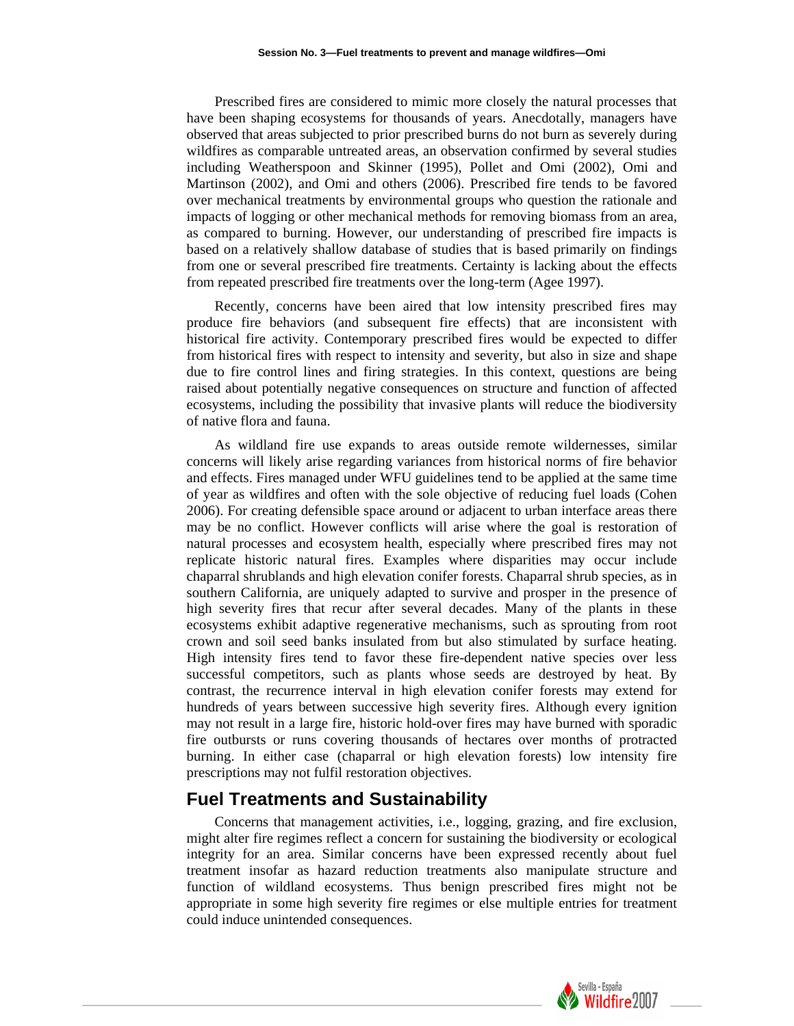Prescribed fires are considered to mimic more closely the natural processes that have been shaping ecosystems for thousands of years. Anecdotally, managers have observed that areas subjected to prior prescribed burns do not burn as severely during wildfires as comparable untreated areas, an observation confirmed by several studies including Weatherspoon and Skinner (1995), Pollet and Omi (2002), Omi and Martinson (2002), and Omi and others (2006). Prescribed fire tends to be favored over mechanical treatments by environmental groups who question the rationale and impacts of logging or other mechanical methods for removing biomass from an area, as compared to burning. However, our understanding of prescribed fire impacts is based on a relatively shallow database of studies that is based primarily on findings from one or several prescribed fire treatments. Certainty is lacking about the effects from repeated prescribed fire treatments over the long-term (Agee 1997).

Recently, concerns have been aired that low intensity prescribed fires may produce fire behaviors (and subsequent fire effects) that are inconsistent with historical fire activity. Contemporary prescribed fires would be expected to differ from historical fires with respect to intensity and severity, but also in size and shape due to fire control lines and firing strategies. In this context, questions are being raised about potentially negative consequences on structure and function of affected ecosystems, including the possibility that invasive plants will reduce the biodiversity of native flora and fauna.

As wildland fire use expands to areas outside remote wildernesses, similar concerns will likely arise regarding variances from historical norms of fire behavior and effects. Fires managed under WFU guidelines tend to be applied at the same time of year as wildfires and often with the sole objective of reducing fuel loads (Cohen 2006). For creating defensible space around or adjacent to urban interface areas there may be no conflict. However conflicts will arise where the goal is restoration of natural processes and ecosystem health, especially where prescribed fires may not replicate historic natural fires. Examples where disparities may occur include chaparral shrublands and high elevation conifer forests. Chaparral shrub species, as in southern California, are uniquely adapted to survive and prosper in the presence of high severity fires that recur after several decades. Many of the plants in these ecosystems exhibit adaptive regenerative mechanisms, such as sprouting from root crown and soil seed banks insulated from but also stimulated by surface heating. High intensity fires tend to favor these fire-dependent native species over less successful competitors, such as plants whose seeds are destroyed by heat. By contrast, the recurrence interval in high elevation conifer forests may extend for hundreds of years between successive high severity fires. Although every ignition may not result in a large fire, historic hold-over fires may have burned with sporadic fire outbursts or runs covering thousands of hectares over months of protracted burning. In either case (chaparral or high elevation forests) low intensity fire prescriptions may not fulfil restoration objectives.

# **Fuel Treatments and Sustainability**

Concerns that management activities, i.e., logging, grazing, and fire exclusion, might alter fire regimes reflect a concern for sustaining the biodiversity or ecological integrity for an area. Similar concerns have been expressed recently about fuel treatment insofar as hazard reduction treatments also manipulate structure and function of wildland ecosystems. Thus benign prescribed fires might not be appropriate in some high severity fire regimes or else multiple entries for treatment could induce unintended consequences.

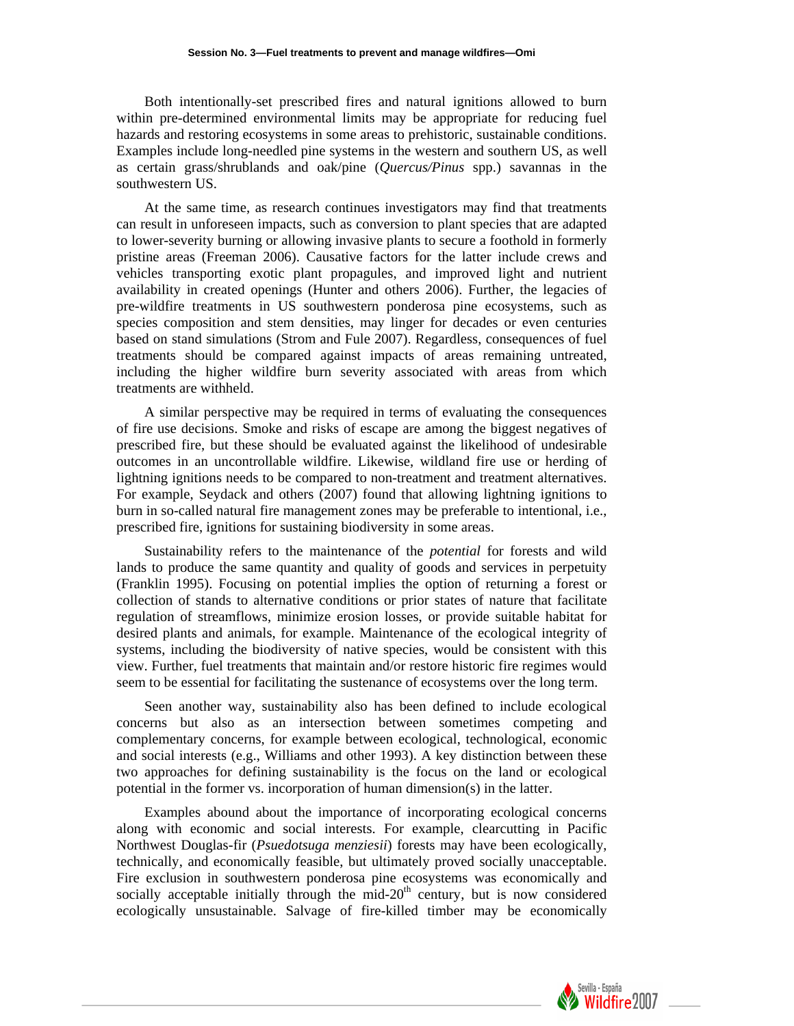Both intentionally-set prescribed fires and natural ignitions allowed to burn within pre-determined environmental limits may be appropriate for reducing fuel hazards and restoring ecosystems in some areas to prehistoric, sustainable conditions. Examples include long-needled pine systems in the western and southern US, as well as certain grass/shrublands and oak/pine (*Quercus/Pinus* spp.) savannas in the southwestern US.

At the same time, as research continues investigators may find that treatments can result in unforeseen impacts, such as conversion to plant species that are adapted to lower-severity burning or allowing invasive plants to secure a foothold in formerly pristine areas (Freeman 2006). Causative factors for the latter include crews and vehicles transporting exotic plant propagules, and improved light and nutrient availability in created openings (Hunter and others 2006). Further, the legacies of pre-wildfire treatments in US southwestern ponderosa pine ecosystems, such as species composition and stem densities, may linger for decades or even centuries based on stand simulations (Strom and Fule 2007). Regardless, consequences of fuel treatments should be compared against impacts of areas remaining untreated, including the higher wildfire burn severity associated with areas from which treatments are withheld.

A similar perspective may be required in terms of evaluating the consequences of fire use decisions. Smoke and risks of escape are among the biggest negatives of prescribed fire, but these should be evaluated against the likelihood of undesirable outcomes in an uncontrollable wildfire. Likewise, wildland fire use or herding of lightning ignitions needs to be compared to non-treatment and treatment alternatives. For example, Seydack and others (2007) found that allowing lightning ignitions to burn in so-called natural fire management zones may be preferable to intentional, i.e., prescribed fire, ignitions for sustaining biodiversity in some areas.

Sustainability refers to the maintenance of the *potential* for forests and wild lands to produce the same quantity and quality of goods and services in perpetuity (Franklin 1995). Focusing on potential implies the option of returning a forest or collection of stands to alternative conditions or prior states of nature that facilitate regulation of streamflows, minimize erosion losses, or provide suitable habitat for desired plants and animals, for example. Maintenance of the ecological integrity of systems, including the biodiversity of native species, would be consistent with this view. Further, fuel treatments that maintain and/or restore historic fire regimes would seem to be essential for facilitating the sustenance of ecosystems over the long term.

Seen another way, sustainability also has been defined to include ecological concerns but also as an intersection between sometimes competing and complementary concerns, for example between ecological, technological, economic and social interests (e.g., Williams and other 1993). A key distinction between these two approaches for defining sustainability is the focus on the land or ecological potential in the former vs. incorporation of human dimension(s) in the latter.

Examples abound about the importance of incorporating ecological concerns along with economic and social interests. For example, clearcutting in Pacific Northwest Douglas-fir (*Psuedotsuga menziesii*) forests may have been ecologically, technically, and economically feasible, but ultimately proved socially unacceptable. Fire exclusion in southwestern ponderosa pine ecosystems was economically and socially acceptable initially through the mid- $20<sup>th</sup>$  century, but is now considered ecologically unsustainable. Salvage of fire-killed timber may be economically

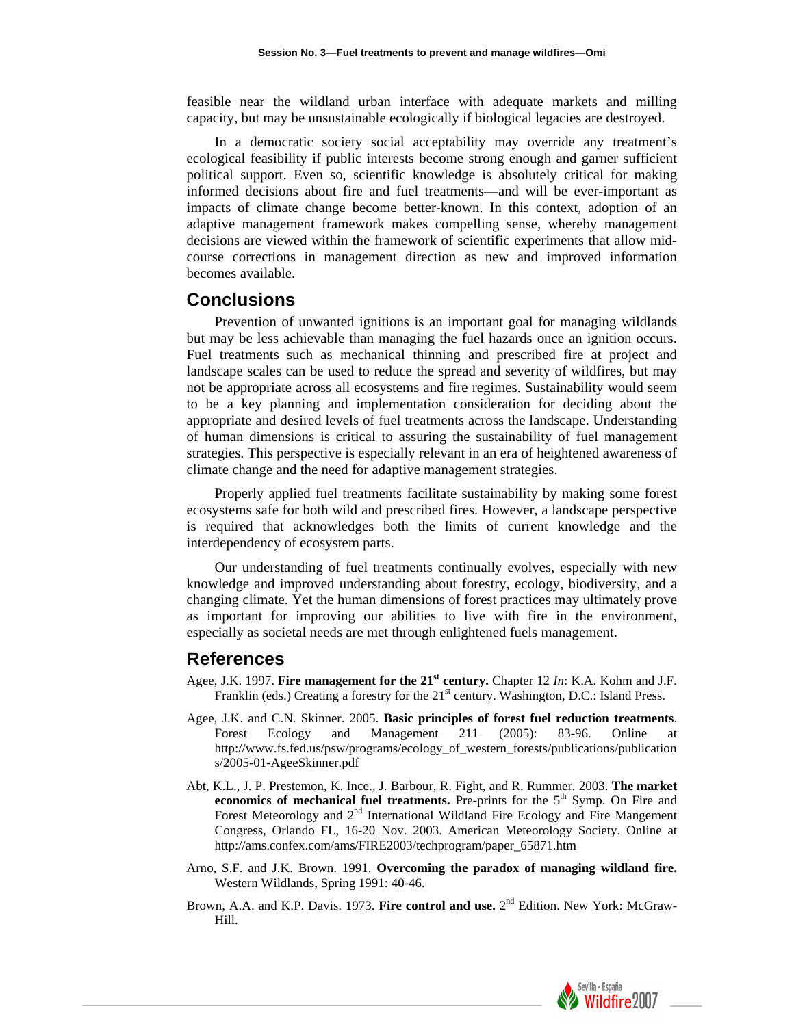feasible near the wildland urban interface with adequate markets and milling capacity, but may be unsustainable ecologically if biological legacies are destroyed.

In a democratic society social acceptability may override any treatment's ecological feasibility if public interests become strong enough and garner sufficient political support. Even so, scientific knowledge is absolutely critical for making informed decisions about fire and fuel treatments—and will be ever-important as impacts of climate change become better-known. In this context, adoption of an adaptive management framework makes compelling sense, whereby management decisions are viewed within the framework of scientific experiments that allow midcourse corrections in management direction as new and improved information becomes available.

#### **Conclusions**

Prevention of unwanted ignitions is an important goal for managing wildlands but may be less achievable than managing the fuel hazards once an ignition occurs. Fuel treatments such as mechanical thinning and prescribed fire at project and landscape scales can be used to reduce the spread and severity of wildfires, but may not be appropriate across all ecosystems and fire regimes. Sustainability would seem to be a key planning and implementation consideration for deciding about the appropriate and desired levels of fuel treatments across the landscape. Understanding of human dimensions is critical to assuring the sustainability of fuel management strategies. This perspective is especially relevant in an era of heightened awareness of climate change and the need for adaptive management strategies.

Properly applied fuel treatments facilitate sustainability by making some forest ecosystems safe for both wild and prescribed fires. However, a landscape perspective is required that acknowledges both the limits of current knowledge and the interdependency of ecosystem parts.

Our understanding of fuel treatments continually evolves, especially with new knowledge and improved understanding about forestry, ecology, biodiversity, and a changing climate. Yet the human dimensions of forest practices may ultimately prove as important for improving our abilities to live with fire in the environment, especially as societal needs are met through enlightened fuels management.

#### **References**

- Agee, J.K. 1997. **Fire management for the 21<sup>st</sup> century.** Chapter 12 *In*: K.A. Kohm and J.F. Franklin (eds.) Creating a forestry for the 21<sup>st</sup> century. Washington, D.C.: Island Press.
- Agee, J.K. and C.N. Skinner. 2005. **Basic principles of forest fuel reduction treatments**. Forest Ecology and Management 211 (2005): 83-96. Online at [http://www.fs.fed.us/psw/programs/ecology\\_of\\_western\\_forests/publications/publication](http://www.fs.fed.us/psw/programs/ecology_of_western_forests/publications/publications/2005-01-AgeeSkinner.pdf) [s/2005-01-AgeeSkinner.pdf](http://www.fs.fed.us/psw/programs/ecology_of_western_forests/publications/publications/2005-01-AgeeSkinner.pdf)
- Abt, K.L., J. P. Prestemon, K. Ince., J. Barbour, R. Fight, and R. Rummer. 2003. **The market economics of mechanical fuel treatments.** Pre-prints for the  $5<sup>th</sup>$  Symp. On Fire and Forest Meteorology and 2<sup>nd</sup> International Wildland Fire Ecology and Fire Mangement Congress, Orlando FL, 16-20 Nov. 2003. American Meteorology Society. Online at http://ams.confex.com/ams/FIRE2003/techprogram/paper\_65871.htm
- Arno, S.F. and J.K. Brown. 1991. **Overcoming the paradox of managing wildland fire.**  Western Wildlands, Spring 1991: 40-46.
- Brown, A.A. and K.P. Davis. 1973. Fire control and use. 2<sup>nd</sup> Edition. New York: McGraw-Hill.

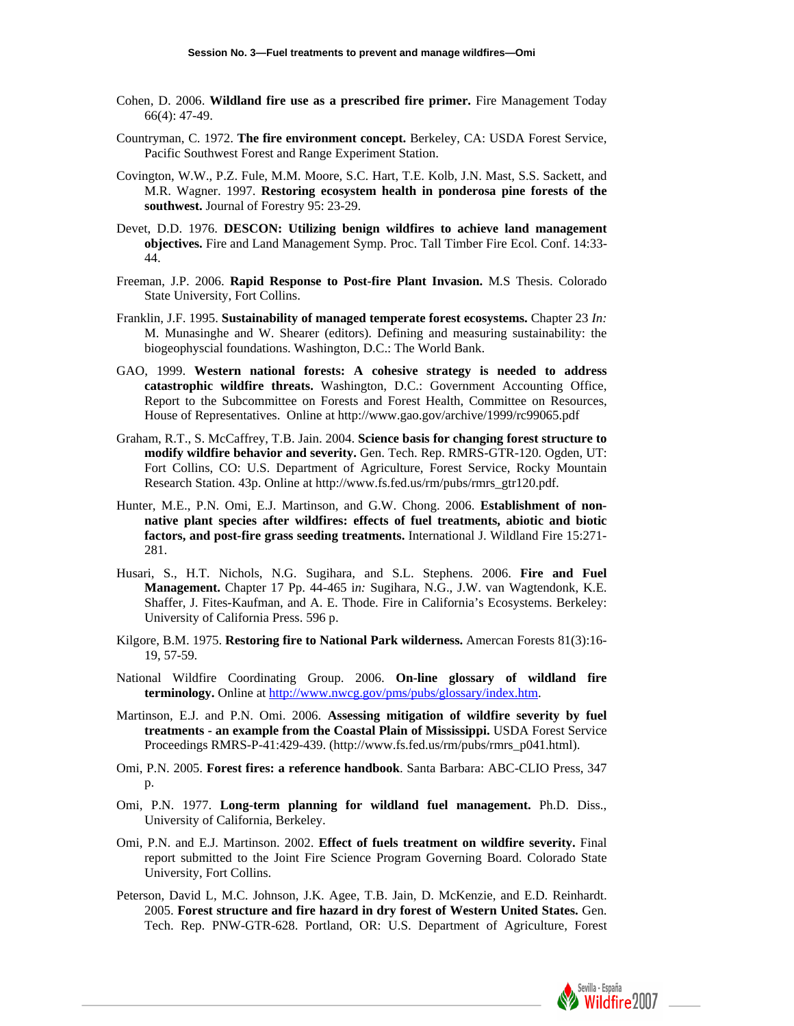- Cohen, D. 2006. **Wildland fire use as a prescribed fire primer.** Fire Management Today 66(4): 47-49.
- Countryman, C. 1972. **The fire environment concept.** Berkeley, CA: USDA Forest Service, Pacific Southwest Forest and Range Experiment Station.
- Covington, W.W., P.Z. Fule, M.M. Moore, S.C. Hart, T.E. Kolb, J.N. Mast, S.S. Sackett, and M.R. Wagner. 1997. **Restoring ecosystem health in ponderosa pine forests of the southwest.** Journal of Forestry 95: 23-29.
- Devet, D.D. 1976. **DESCON: Utilizing benign wildfires to achieve land management objectives.** Fire and Land Management Symp. Proc. Tall Timber Fire Ecol. Conf. 14:33- 44.
- Freeman, J.P. 2006. **Rapid Response to Post-fire Plant Invasion.** M.S Thesis. Colorado State University, Fort Collins.
- Franklin, J.F. 1995. **Sustainability of managed temperate forest ecosystems.** Chapter 23 *In:*  M. Munasinghe and W. Shearer (editors). Defining and measuring sustainability: the biogeophyscial foundations. Washington, D.C.: The World Bank.
- GAO, 1999. **Western national forests: A cohesive strategy is needed to address catastrophic wildfire threats.** Washington, D.C.: Government Accounting Office, Report to the Subcommittee on Forests and Forest Health, Committee on Resources, House of Representatives. Online at http://www.gao.gov/archive/1999/rc99065.pdf
- Graham, R.T., S. McCaffrey, T.B. Jain. 2004. **Science basis for changing forest structure to modify wildfire behavior and severity.** Gen. Tech. Rep. RMRS-GTR-120. Ogden, UT: Fort Collins, CO: U.S. Department of Agriculture, Forest Service, Rocky Mountain Research Station. 43p. Online at [http://www.fs.fed.us/rm/pubs/rmrs\\_gtr120.pdf.](http://www.fs.fed.us/rm/pubs/rmrs_gtr120.pdf)
- Hunter, M.E., P.N. Omi, E.J. Martinson, and G.W. Chong. 2006. **Establishment of nonnative plant species after wildfires: effects of fuel treatments, abiotic and biotic factors, and post-fire grass seeding treatments.** International J. Wildland Fire 15:271- 281.
- Husari, S., H.T. Nichols, N.G. Sugihara, and S.L. Stephens. 2006. **Fire and Fuel Management.** Chapter 17 Pp. 44-465 i*n:* Sugihara, N.G., J.W. van Wagtendonk, K.E. Shaffer, J. Fites-Kaufman, and A. E. Thode. Fire in California's Ecosystems. Berkeley: University of California Press. 596 p.
- Kilgore, B.M. 1975. **Restoring fire to National Park wilderness.** Amercan Forests 81(3):16- 19, 57-59.
- National Wildfire Coordinating Group. 2006. **On-line glossary of wildland fire terminology.** Online at <http://www.nwcg.gov/pms/pubs/glossary/index.htm>.
- Martinson, E.J. and P.N. Omi. 2006. **Assessing mitigation of wildfire severity by fuel treatments - an example from the Coastal Plain of Mississippi.** USDA Forest Service Proceedings RMRS-P-41:429-439. (http://www.fs.fed.us/rm/pubs/rmrs\_p041.html).
- Omi, P.N. 2005. **Forest fires: a reference handbook**. Santa Barbara: ABC-CLIO Press, 347 p.
- Omi, P.N. 1977. **Long-term planning for wildland fuel management.** Ph.D. Diss., University of California, Berkeley.
- Omi, P.N. and E.J. Martinson. 2002. **Effect of fuels treatment on wildfire severity.** Final report submitted to the Joint Fire Science Program Governing Board. Colorado State University, Fort Collins.
- Peterson, David L, M.C. Johnson, J.K. Agee, T.B. Jain, D. McKenzie, and E.D. Reinhardt. 2005. **Forest structure and fire hazard in dry forest of Western United States.** Gen. Tech. Rep. PNW-GTR-628. Portland, OR: U.S. Department of Agriculture, Forest